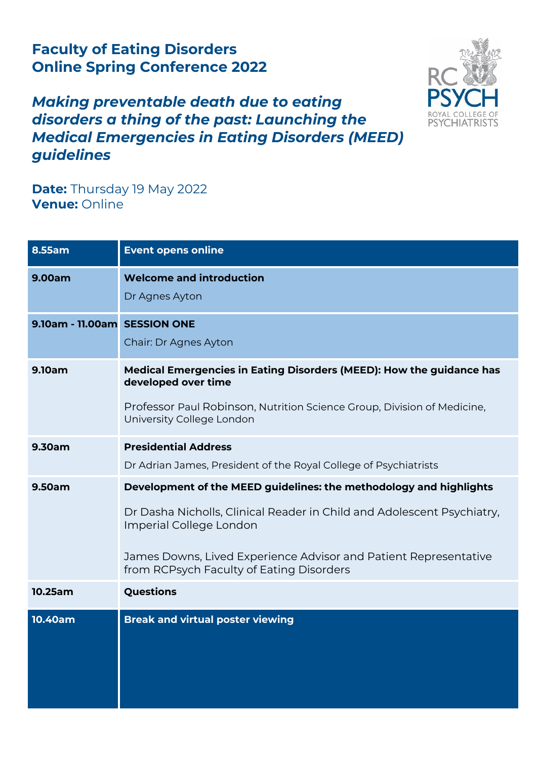## **Faculty of Eating Disorders Online Spring Conference 2022**



## *Making preventable death due to eating disorders a thing of the past: Launching the Medical Emergencies in Eating Disorders (MEED) guidelines*

**Date:** Thursday 19 May 2022 **Venue:** Online

| 8.55am                       | <b>Event opens online</b>                                                                                                                                                                                                                                                               |
|------------------------------|-----------------------------------------------------------------------------------------------------------------------------------------------------------------------------------------------------------------------------------------------------------------------------------------|
| 9.00am                       | <b>Welcome and introduction</b><br>Dr Agnes Ayton                                                                                                                                                                                                                                       |
| 9.10am - 11.00am SESSION ONE | Chair: Dr Agnes Ayton                                                                                                                                                                                                                                                                   |
| 9.10am                       | Medical Emergencies in Eating Disorders (MEED): How the guidance has<br>developed over time<br>Professor Paul Robinson, Nutrition Science Group, Division of Medicine,<br>University College London                                                                                     |
| 9.30am                       | <b>Presidential Address</b><br>Dr Adrian James, President of the Royal College of Psychiatrists                                                                                                                                                                                         |
| 9.50am                       | Development of the MEED guidelines: the methodology and highlights<br>Dr Dasha Nicholls, Clinical Reader in Child and Adolescent Psychiatry,<br>Imperial College London<br>James Downs, Lived Experience Advisor and Patient Representative<br>from RCPsych Faculty of Eating Disorders |
| 10.25am                      | Questions                                                                                                                                                                                                                                                                               |
| 10.40am                      | <b>Break and virtual poster viewing</b>                                                                                                                                                                                                                                                 |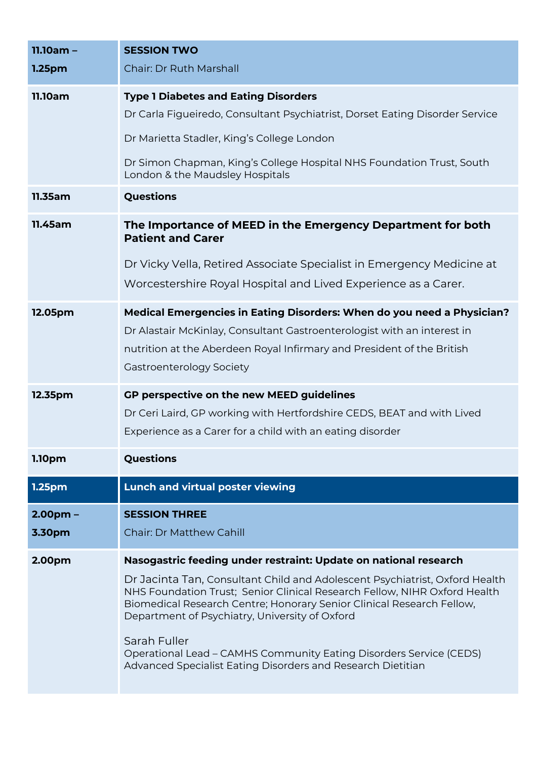| $11.10am -$        | <b>SESSION TWO</b>                                                                                                                                                                                                                                                                  |
|--------------------|-------------------------------------------------------------------------------------------------------------------------------------------------------------------------------------------------------------------------------------------------------------------------------------|
| 1.25 <sub>pm</sub> | <b>Chair: Dr Ruth Marshall</b>                                                                                                                                                                                                                                                      |
| <b>11.10am</b>     | <b>Type 1 Diabetes and Eating Disorders</b>                                                                                                                                                                                                                                         |
|                    | Dr Carla Figueiredo, Consultant Psychiatrist, Dorset Eating Disorder Service                                                                                                                                                                                                        |
|                    | Dr Marietta Stadler, King's College London                                                                                                                                                                                                                                          |
|                    | Dr Simon Chapman, King's College Hospital NHS Foundation Trust, South<br>London & the Maudsley Hospitals                                                                                                                                                                            |
| 11.35am            | Questions                                                                                                                                                                                                                                                                           |
| 11.45am            | The Importance of MEED in the Emergency Department for both<br><b>Patient and Carer</b>                                                                                                                                                                                             |
|                    | Dr Vicky Vella, Retired Associate Specialist in Emergency Medicine at<br>Worcestershire Royal Hospital and Lived Experience as a Carer.                                                                                                                                             |
| 12.05pm            | Medical Emergencies in Eating Disorders: When do you need a Physician?<br>Dr Alastair McKinlay, Consultant Gastroenterologist with an interest in                                                                                                                                   |
|                    | nutrition at the Aberdeen Royal Infirmary and President of the British                                                                                                                                                                                                              |
|                    | Gastroenterology Society                                                                                                                                                                                                                                                            |
| 12.35pm            | GP perspective on the new MEED guidelines                                                                                                                                                                                                                                           |
|                    | Dr Ceri Laird, GP working with Hertfordshire CEDS, BEAT and with Lived                                                                                                                                                                                                              |
|                    | Experience as a Carer for a child with an eating disorder                                                                                                                                                                                                                           |
| 1.10pm             | Questions                                                                                                                                                                                                                                                                           |
| 1.25pm             | Lunch and virtual poster viewing                                                                                                                                                                                                                                                    |
| $2.00pm -$         | <b>SESSION THREE</b>                                                                                                                                                                                                                                                                |
| 3.30pm             | <b>Chair: Dr Matthew Cahill</b>                                                                                                                                                                                                                                                     |
| 2.00pm             | Nasogastric feeding under restraint: Update on national research                                                                                                                                                                                                                    |
|                    | Dr Jacinta Tan, Consultant Child and Adolescent Psychiatrist, Oxford Health<br>NHS Foundation Trust; Senior Clinical Research Fellow, NIHR Oxford Health<br>Biomedical Research Centre; Honorary Senior Clinical Research Fellow,<br>Department of Psychiatry, University of Oxford |
|                    | Sarah Fuller<br><b>Operational Lead - CAMHS Community Eating Disorders Service (CEDS)</b><br>Advanced Specialist Eating Disorders and Research Dietitian                                                                                                                            |